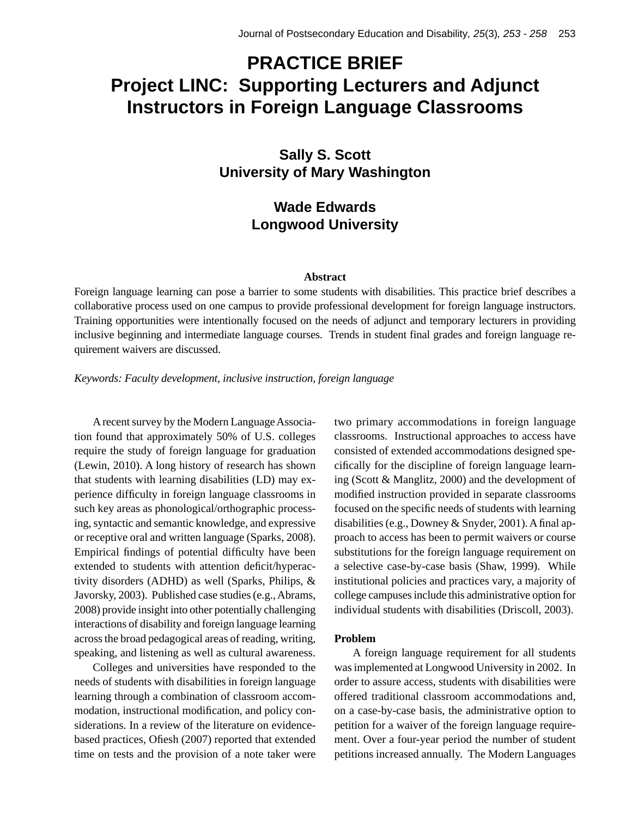# **PRACTICE BRIEF Project LINC: Supporting Lecturers and Adjunct Instructors in Foreign Language Classrooms**

# **Sally S. Scott University of Mary Washington**

# **Wade Edwards Longwood University**

### **Abstract**

Foreign language learning can pose a barrier to some students with disabilities. This practice brief describes a collaborative process used on one campus to provide professional development for foreign language instructors. Training opportunities were intentionally focused on the needs of adjunct and temporary lecturers in providing inclusive beginning and intermediate language courses. Trends in student final grades and foreign language requirement waivers are discussed.

*Keywords: Faculty development, inclusive instruction, foreign language*

A recent survey by the Modern Language Association found that approximately 50% of U.S. colleges require the study of foreign language for graduation (Lewin, 2010). A long history of research has shown that students with learning disabilities (LD) may experience difficulty in foreign language classrooms in such key areas as phonological/orthographic processing, syntactic and semantic knowledge, and expressive or receptive oral and written language (Sparks, 2008). Empirical findings of potential difficulty have been extended to students with attention deficit/hyperactivity disorders (ADHD) as well (Sparks, Philips, & Javorsky, 2003). Published case studies (e.g., Abrams, 2008) provide insight into other potentially challenging interactions of disability and foreign language learning across the broad pedagogical areas of reading, writing, speaking, and listening as well as cultural awareness.

Colleges and universities have responded to the needs of students with disabilities in foreign language learning through a combination of classroom accommodation, instructional modification, and policy considerations. In a review of the literature on evidencebased practices, Ofiesh (2007) reported that extended time on tests and the provision of a note taker were two primary accommodations in foreign language classrooms. Instructional approaches to access have consisted of extended accommodations designed specifi cally for the discipline of foreign language learning (Scott & Manglitz, 2000) and the development of modified instruction provided in separate classrooms focused on the specific needs of students with learning disabilities (e.g., Downey & Snyder, 2001). A final approach to access has been to permit waivers or course substitutions for the foreign language requirement on a selective case-by-case basis (Shaw, 1999). While institutional policies and practices vary, a majority of college campuses include this administrative option for individual students with disabilities (Driscoll, 2003).

# **Problem**

A foreign language requirement for all students was implemented at Longwood University in 2002. In order to assure access, students with disabilities were offered traditional classroom accommodations and, on a case-by-case basis, the administrative option to petition for a waiver of the foreign language requirement. Over a four-year period the number of student petitions increased annually. The Modern Languages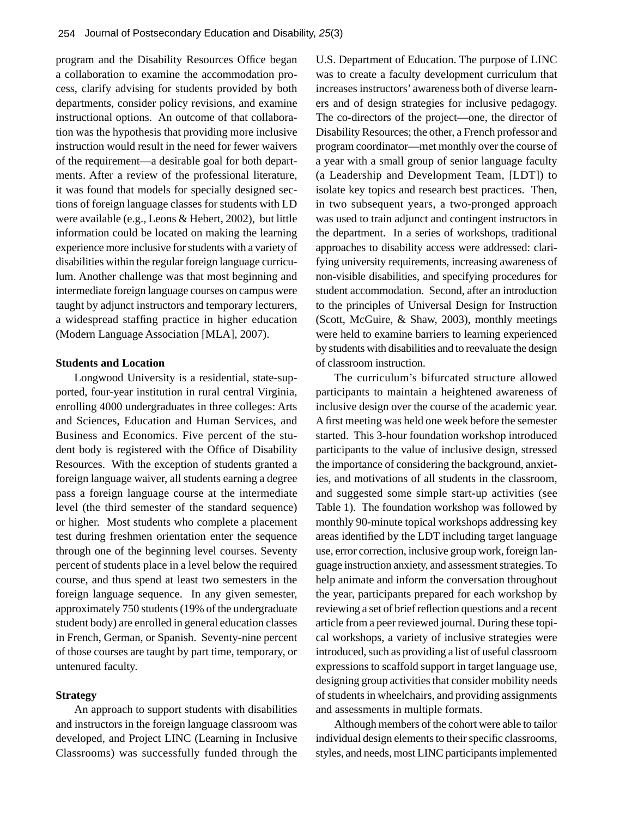program and the Disability Resources Office began a collaboration to examine the accommodation process, clarify advising for students provided by both departments, consider policy revisions, and examine instructional options. An outcome of that collaboration was the hypothesis that providing more inclusive instruction would result in the need for fewer waivers of the requirement—a desirable goal for both departments. After a review of the professional literature, it was found that models for specially designed sections of foreign language classes for students with LD were available (e.g., Leons & Hebert, 2002), but little information could be located on making the learning experience more inclusive for students with a variety of disabilities within the regular foreign language curriculum. Another challenge was that most beginning and intermediate foreign language courses on campus were taught by adjunct instructors and temporary lecturers, a widespread staffing practice in higher education (Modern Language Association [MLA], 2007).

### **Students and Location**

Longwood University is a residential, state-supported, four-year institution in rural central Virginia, enrolling 4000 undergraduates in three colleges: Arts and Sciences, Education and Human Services, and Business and Economics. Five percent of the student body is registered with the Office of Disability Resources. With the exception of students granted a foreign language waiver, all students earning a degree pass a foreign language course at the intermediate level (the third semester of the standard sequence) or higher. Most students who complete a placement test during freshmen orientation enter the sequence through one of the beginning level courses. Seventy percent of students place in a level below the required course, and thus spend at least two semesters in the foreign language sequence. In any given semester, approximately 750 students (19% of the undergraduate student body) are enrolled in general education classes in French, German, or Spanish. Seventy-nine percent of those courses are taught by part time, temporary, or untenured faculty.

# **Strategy**

An approach to support students with disabilities and instructors in the foreign language classroom was developed, and Project LINC (Learning in Inclusive Classrooms) was successfully funded through the

U.S. Department of Education. The purpose of LINC was to create a faculty development curriculum that increases instructors' awareness both of diverse learners and of design strategies for inclusive pedagogy. The co-directors of the project—one, the director of Disability Resources; the other, a French professor and program coordinator—met monthly over the course of a year with a small group of senior language faculty (a Leadership and Development Team, [LDT]) to isolate key topics and research best practices. Then, in two subsequent years, a two-pronged approach was used to train adjunct and contingent instructors in the department. In a series of workshops, traditional approaches to disability access were addressed: clarifying university requirements, increasing awareness of non-visible disabilities, and specifying procedures for student accommodation. Second, after an introduction to the principles of Universal Design for Instruction (Scott, McGuire, & Shaw, 2003), monthly meetings were held to examine barriers to learning experienced by students with disabilities and to reevaluate the design of classroom instruction.

The curriculum's bifurcated structure allowed participants to maintain a heightened awareness of inclusive design over the course of the academic year. A first meeting was held one week before the semester started. This 3-hour foundation workshop introduced participants to the value of inclusive design, stressed the importance of considering the background, anxieties, and motivations of all students in the classroom, and suggested some simple start-up activities (see Table 1). The foundation workshop was followed by monthly 90-minute topical workshops addressing key areas identified by the LDT including target language use, error correction, inclusive group work, foreign language instruction anxiety, and assessment strategies. To help animate and inform the conversation throughout the year, participants prepared for each workshop by reviewing a set of brief reflection questions and a recent article from a peer reviewed journal. During these topical workshops, a variety of inclusive strategies were introduced, such as providing a list of useful classroom expressions to scaffold support in target language use, designing group activities that consider mobility needs of students in wheelchairs, and providing assignments and assessments in multiple formats.

Although members of the cohort were able to tailor individual design elements to their specific classrooms, styles, and needs, most LINC participants implemented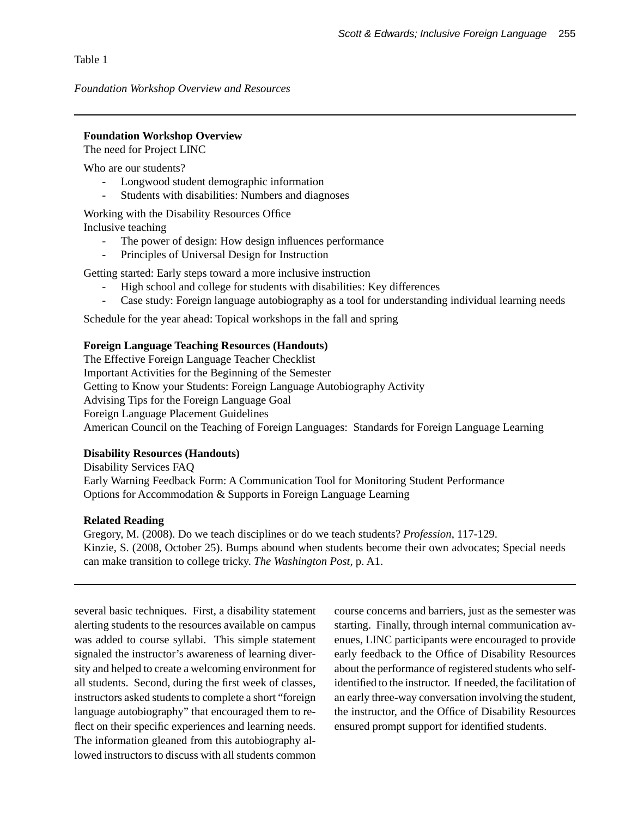Table 1

*Foundation Workshop Overview and Resources*

# **Foundation Workshop Overview**

The need for Project LINC

Who are our students?

- Longwood student demographic information
- Students with disabilities: Numbers and diagnoses

Working with the Disability Resources Office Inclusive teaching

- The power of design: How design influences performance
- Principles of Universal Design for Instruction

Getting started: Early steps toward a more inclusive instruction

- High school and college for students with disabilities: Key differences
- Case study: Foreign language autobiography as a tool for understanding individual learning needs

Schedule for the year ahead: Topical workshops in the fall and spring

# **Foreign Language Teaching Resources (Handouts)**

The Effective Foreign Language Teacher Checklist Important Activities for the Beginning of the Semester Getting to Know your Students: Foreign Language Autobiography Activity Advising Tips for the Foreign Language Goal Foreign Language Placement Guidelines American Council on the Teaching of Foreign Languages: Standards for Foreign Language Learning

# **Disability Resources (Handouts)**

Disability Services FAQ Early Warning Feedback Form: A Communication Tool for Monitoring Student Performance Options for Accommodation & Supports in Foreign Language Learning

# **Related Reading**

Gregory, M. (2008). Do we teach disciplines or do we teach students? *Profession*, 117-129. Kinzie, S. (2008, October 25). Bumps abound when students become their own advocates; Special needs can make transition to college tricky. *The Washington Post,* p. A1.

several basic techniques. First, a disability statement alerting students to the resources available on campus was added to course syllabi. This simple statement signaled the instructor's awareness of learning diversity and helped to create a welcoming environment for all students. Second, during the first week of classes, instructors asked students to complete a short "foreign language autobiography" that encouraged them to reflect on their specific experiences and learning needs. The information gleaned from this autobiography allowed instructors to discuss with all students common

course concerns and barriers, just as the semester was starting. Finally, through internal communication avenues, LINC participants were encouraged to provide early feedback to the Office of Disability Resources about the performance of registered students who selfidentified to the instructor. If needed, the facilitation of an early three-way conversation involving the student, the instructor, and the Office of Disability Resources ensured prompt support for identified students.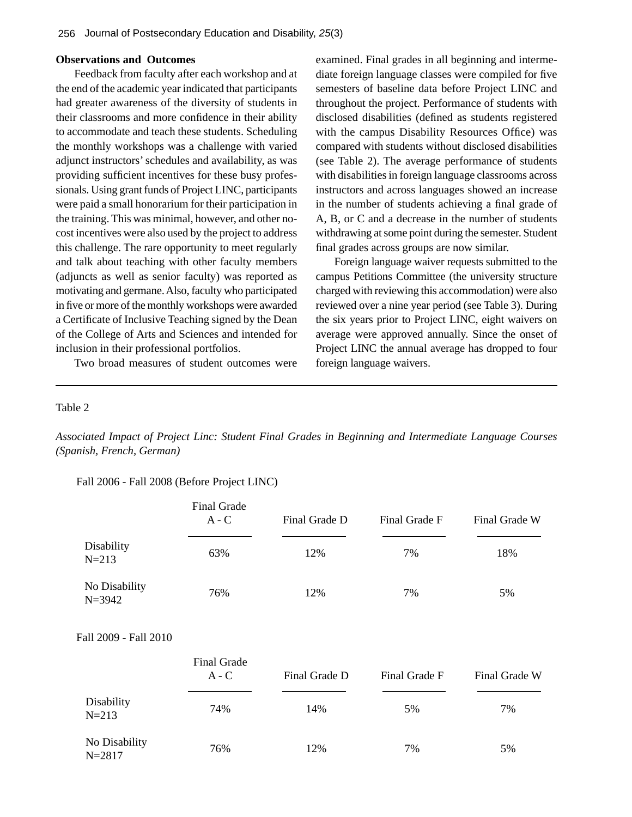### **Observations and Outcomes**

Feedback from faculty after each workshop and at the end of the academic year indicated that participants had greater awareness of the diversity of students in their classrooms and more confidence in their ability to accommodate and teach these students. Scheduling the monthly workshops was a challenge with varied adjunct instructors' schedules and availability, as was providing sufficient incentives for these busy professionals. Using grant funds of Project LINC, participants were paid a small honorarium for their participation in the training. This was minimal, however, and other nocost incentives were also used by the project to address this challenge. The rare opportunity to meet regularly and talk about teaching with other faculty members (adjuncts as well as senior faculty) was reported as motivating and germane. Also, faculty who participated in five or more of the monthly workshops were awarded a Certificate of Inclusive Teaching signed by the Dean of the College of Arts and Sciences and intended for inclusion in their professional portfolios.

Two broad measures of student outcomes were

examined. Final grades in all beginning and intermediate foreign language classes were compiled for five semesters of baseline data before Project LINC and throughout the project. Performance of students with disclosed disabilities (defined as students registered with the campus Disability Resources Office) was compared with students without disclosed disabilities (see Table 2). The average performance of students with disabilities in foreign language classrooms across instructors and across languages showed an increase in the number of students achieving a final grade of A, B, or C and a decrease in the number of students withdrawing at some point during the semester. Student final grades across groups are now similar.

Foreign language waiver requests submitted to the campus Petitions Committee (the university structure charged with reviewing this accommodation) were also reviewed over a nine year period (see Table 3). During the six years prior to Project LINC, eight waivers on average were approved annually. Since the onset of Project LINC the annual average has dropped to four foreign language waivers.

#### Table 2

*Associated Impact of Project Linc: Student Final Grades in Beginning and Intermediate Language Courses (Spanish, French, German)*

#### Fall 2006 - Fall 2008 (Before Project LINC)

|                             | Final Grade<br>$A - C$        | Final Grade D | Final Grade F | Final Grade W |
|-----------------------------|-------------------------------|---------------|---------------|---------------|
| Disability<br>$N = 213$     | 63%                           | 12%           | 7%            | 18%           |
| No Disability<br>$N = 3942$ | 76%                           | 12%           | 7%            | 5%            |
| Fall 2009 - Fall 2010       |                               |               |               |               |
|                             | <b>Final Grade</b><br>$A - C$ | Final Grade D | Final Grade F | Final Grade W |
| Disability<br>$N = 213$     | 74%                           | 14%           | 5%            | 7%            |
| No Disability<br>$N = 2817$ | 76%                           | 12%           | 7%            | 5%            |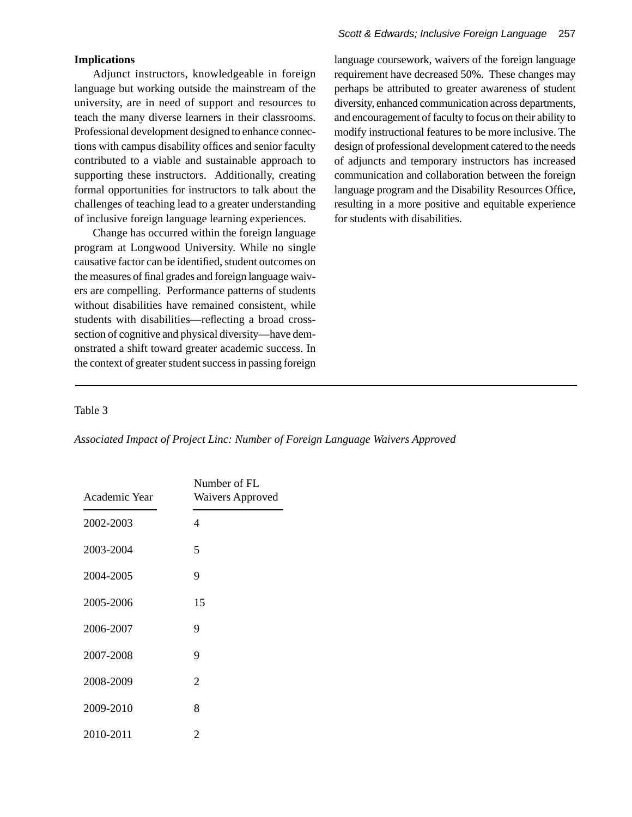# **Implications**

Adjunct instructors, knowledgeable in foreign language but working outside the mainstream of the university, are in need of support and resources to teach the many diverse learners in their classrooms. Professional development designed to enhance connections with campus disability offices and senior faculty contributed to a viable and sustainable approach to supporting these instructors. Additionally, creating formal opportunities for instructors to talk about the challenges of teaching lead to a greater understanding of inclusive foreign language learning experiences.

Change has occurred within the foreign language program at Longwood University. While no single causative factor can be identified, student outcomes on the measures of final grades and foreign language waivers are compelling. Performance patterns of students without disabilities have remained consistent, while students with disabilities—reflecting a broad crosssection of cognitive and physical diversity—have demonstrated a shift toward greater academic success. In the context of greater student success in passing foreign

language coursework, waivers of the foreign language requirement have decreased 50%. These changes may perhaps be attributed to greater awareness of student diversity, enhanced communication across departments, and encouragement of faculty to focus on their ability to modify instructional features to be more inclusive. The design of professional development catered to the needs of adjuncts and temporary instructors has increased communication and collaboration between the foreign language program and the Disability Resources Office, resulting in a more positive and equitable experience for students with disabilities.

# Table 3

*Associated Impact of Project Linc: Number of Foreign Language Waivers Approved*

| Academic Year | Number of FL<br><b>Waivers Approved</b> |  |
|---------------|-----------------------------------------|--|
| 2002-2003     | 4                                       |  |
| 2003-2004     | 5                                       |  |
| 2004-2005     | 9                                       |  |
| 2005-2006     | 15                                      |  |
| 2006-2007     | 9                                       |  |
| 2007-2008     | 9                                       |  |
| 2008-2009     | 2                                       |  |
| 2009-2010     | 8                                       |  |
| 2010-2011     | $\overline{c}$                          |  |